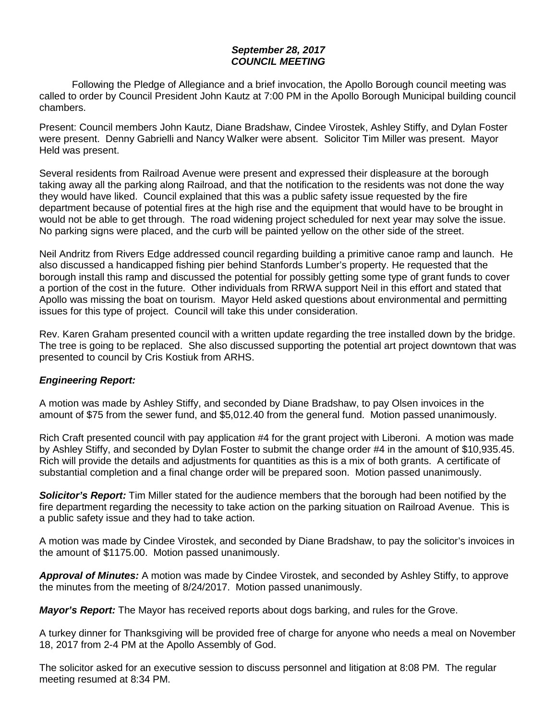## *September 28, 2017 COUNCIL MEETING*

Following the Pledge of Allegiance and a brief invocation, the Apollo Borough council meeting was called to order by Council President John Kautz at 7:00 PM in the Apollo Borough Municipal building council chambers.

Present: Council members John Kautz, Diane Bradshaw, Cindee Virostek, Ashley Stiffy, and Dylan Foster were present. Denny Gabrielli and Nancy Walker were absent. Solicitor Tim Miller was present. Mayor Held was present.

Several residents from Railroad Avenue were present and expressed their displeasure at the borough taking away all the parking along Railroad, and that the notification to the residents was not done the way they would have liked. Council explained that this was a public safety issue requested by the fire department because of potential fires at the high rise and the equipment that would have to be brought in would not be able to get through. The road widening project scheduled for next year may solve the issue. No parking signs were placed, and the curb will be painted yellow on the other side of the street.

Neil Andritz from Rivers Edge addressed council regarding building a primitive canoe ramp and launch. He also discussed a handicapped fishing pier behind Stanfords Lumber's property. He requested that the borough install this ramp and discussed the potential for possibly getting some type of grant funds to cover a portion of the cost in the future. Other individuals from RRWA support Neil in this effort and stated that Apollo was missing the boat on tourism. Mayor Held asked questions about environmental and permitting issues for this type of project. Council will take this under consideration.

Rev. Karen Graham presented council with a written update regarding the tree installed down by the bridge. The tree is going to be replaced. She also discussed supporting the potential art project downtown that was presented to council by Cris Kostiuk from ARHS.

## *Engineering Report:*

A motion was made by Ashley Stiffy, and seconded by Diane Bradshaw, to pay Olsen invoices in the amount of \$75 from the sewer fund, and \$5,012.40 from the general fund. Motion passed unanimously.

Rich Craft presented council with pay application #4 for the grant project with Liberoni. A motion was made by Ashley Stiffy, and seconded by Dylan Foster to submit the change order #4 in the amount of \$10,935.45. Rich will provide the details and adjustments for quantities as this is a mix of both grants. A certificate of substantial completion and a final change order will be prepared soon. Motion passed unanimously.

*Solicitor's Report:* Tim Miller stated for the audience members that the borough had been notified by the fire department regarding the necessity to take action on the parking situation on Railroad Avenue. This is a public safety issue and they had to take action.

A motion was made by Cindee Virostek, and seconded by Diane Bradshaw, to pay the solicitor's invoices in the amount of \$1175.00. Motion passed unanimously.

*Approval of Minutes:* A motion was made by Cindee Virostek, and seconded by Ashley Stiffy, to approve the minutes from the meeting of 8/24/2017. Motion passed unanimously.

*Mayor's Report:* The Mayor has received reports about dogs barking, and rules for the Grove.

A turkey dinner for Thanksgiving will be provided free of charge for anyone who needs a meal on November 18, 2017 from 2-4 PM at the Apollo Assembly of God.

The solicitor asked for an executive session to discuss personnel and litigation at 8:08 PM. The regular meeting resumed at 8:34 PM.